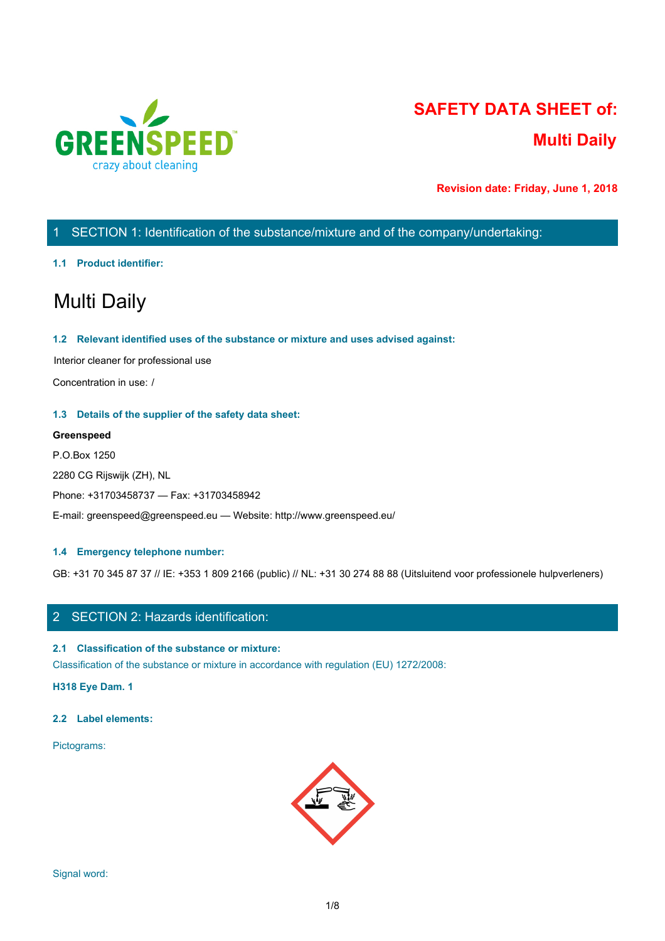

# **SAFETY DATA SHEET of: Multi Daily**

**Revision date: Friday, June 1, 2018**

# 1 SECTION 1: Identification of the substance/mixture and of the company/undertaking:

# **1.1 Product identifier:**

# Multi Daily

# **1.2 Relevant identified uses of the substance or mixture and uses advised against:**

Interior cleaner for professional use

Concentration in use: /

## **1.3 Details of the supplier of the safety data sheet:**

## **Greenspeed**

P.O.Box 1250 2280 CG Rijswijk (ZH), NL Phone: +31703458737 — Fax: +31703458942 E-mail: greenspeed@greenspeed.eu — Website: http://www.greenspeed.eu/

# **1.4 Emergency telephone number:**

GB: +31 70 345 87 37 // IE: +353 1 809 2166 (public) // NL: +31 30 274 88 88 (Uitsluitend voor professionele hulpverleners)

# 2 SECTION 2: Hazards identification:

# **2.1 Classification of the substance or mixture:**

Classification of the substance or mixture in accordance with regulation (EU) 1272/2008:

**H318 Eye Dam. 1**

#### **2.2 Label elements:**

Pictograms:

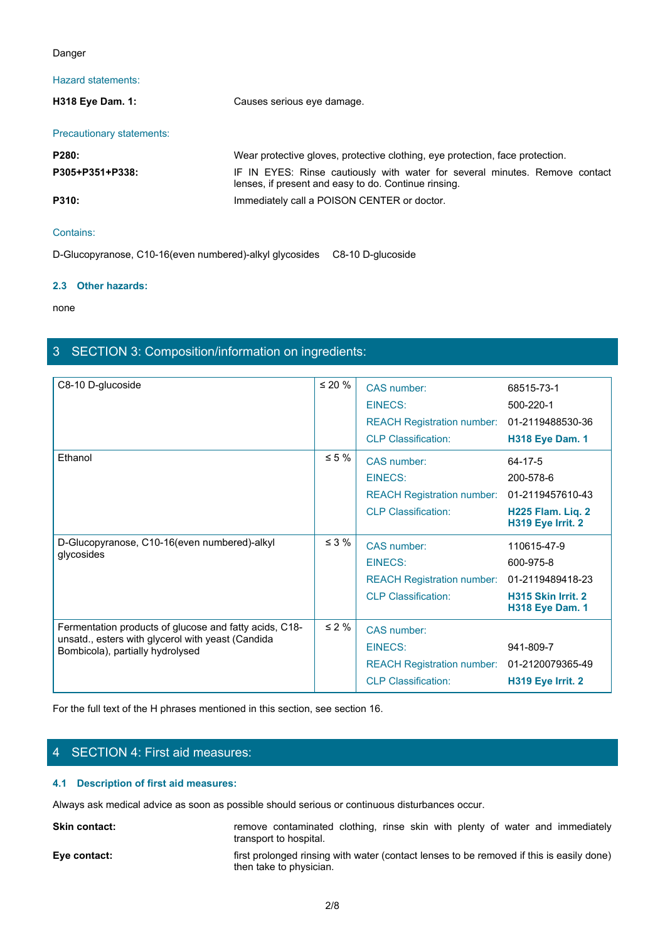## Danger

# Hazard statements:

| Danger                    |                                                                                                                                     |
|---------------------------|-------------------------------------------------------------------------------------------------------------------------------------|
| Hazard statements:        |                                                                                                                                     |
| H318 Eye Dam. 1:          | Causes serious eye damage.                                                                                                          |
| Precautionary statements: |                                                                                                                                     |
| P280:                     | Wear protective gloves, protective clothing, eye protection, face protection.                                                       |
| P305+P351+P338:           | IF IN EYES: Rinse cautiously with water for several minutes. Remove contact<br>lenses, if present and easy to do. Continue rinsing. |
| P310:                     | Immediately call a POISON CENTER or doctor.                                                                                         |
| Contains:                 |                                                                                                                                     |
|                           | D-Glucopyranose C10-16(even numbered)-alkyl glycosides C8-10 D-glucoside                                                            |

D-Glucopyranose, C10-16(even numbered)-alkyl glycosides C8-10 D-glucoside

#### **2.3 Other hazards:**

none and the state of the state of the state of the state of the state of the state of the state of the state of the state of the state of the state of the state of the state of the state of the state of the state of the s

# 3 SECTION 3: Composition/information on ingredients:

| C8-10 D-glucoside                                                                              | $\leq 20 \%$                                                                                            | CAS number:                                                                              |                         |
|------------------------------------------------------------------------------------------------|---------------------------------------------------------------------------------------------------------|------------------------------------------------------------------------------------------|-------------------------|
|                                                                                                |                                                                                                         | <b>EINECS:</b>                                                                           | 68515-73-1<br>500-220-1 |
|                                                                                                |                                                                                                         |                                                                                          |                         |
|                                                                                                |                                                                                                         | REACH Registration number: 01-2119488530-36                                              |                         |
|                                                                                                |                                                                                                         | <b>CLP Classification:</b>                                                               | <b>H318 Eye Dam. 1</b>  |
| Ethanol                                                                                        | $\leq 5 \%$                                                                                             | CAS number:                                                                              | $64 - 17 - 5$           |
|                                                                                                |                                                                                                         | <b>EINECS:</b>                                                                           | 200-578-6               |
|                                                                                                |                                                                                                         | REACH Registration number: 01-2119457610-43                                              |                         |
|                                                                                                |                                                                                                         | <b>CLP Classification:</b>                                                               | H225 Flam. Liq. 2       |
|                                                                                                |                                                                                                         |                                                                                          | H319 Eye Irrit. 2       |
| D-Glucopyranose, C10-16(even numbered)-alkyl                                                   | $\leq 3 \%$                                                                                             | CAS number:                                                                              | 110615-47-9             |
| glycosides                                                                                     |                                                                                                         | <b>EINECS:</b>                                                                           | 600-975-8               |
|                                                                                                |                                                                                                         | <b>REACH Registration number:</b>                                                        | 01-2119489418-23        |
|                                                                                                |                                                                                                         | <b>CLP Classification:</b>                                                               | H315 Skin Irrit. 2      |
|                                                                                                |                                                                                                         |                                                                                          | <b>H318 Eye Dam. 1</b>  |
| Fermentation products of glucose and fatty acids, C18-                                         | $\leq 2 \%$                                                                                             | CAS number:                                                                              |                         |
| unsatd., esters with glycerol with yeast (Candida<br>Bombicola), partially hydrolysed          |                                                                                                         | <b>EINECS:</b>                                                                           | 941-809-7               |
|                                                                                                |                                                                                                         | <b>REACH Registration number:</b>                                                        | 01-2120079365-49        |
|                                                                                                |                                                                                                         | <b>CLP Classification:</b>                                                               | H319 Eye Irrit. 2       |
|                                                                                                |                                                                                                         |                                                                                          |                         |
| For the full text of the H phrases mentioned in this section, see section 16.                  |                                                                                                         |                                                                                          |                         |
|                                                                                                |                                                                                                         |                                                                                          |                         |
|                                                                                                |                                                                                                         |                                                                                          |                         |
| 4 SECTION 4: First aid measures:                                                               |                                                                                                         |                                                                                          |                         |
| 4.1 Description of first aid measures:                                                         |                                                                                                         |                                                                                          |                         |
| Always ask medical advice as soon as possible should serious or continuous disturbances occur. |                                                                                                         |                                                                                          |                         |
| Skin contact:                                                                                  | remove contaminated clothing, rinse skin with plenty of water and immediately<br>transport to hospital. |                                                                                          |                         |
| Eye contact:                                                                                   | then take to physician.                                                                                 | first prolonged rinsing with water (contact lenses to be removed if this is easily done) |                         |
|                                                                                                |                                                                                                         |                                                                                          |                         |
|                                                                                                | 2/8                                                                                                     |                                                                                          |                         |

# 4 SECTION 4: First aid measures:

#### **4.1 Description of first aid measures:**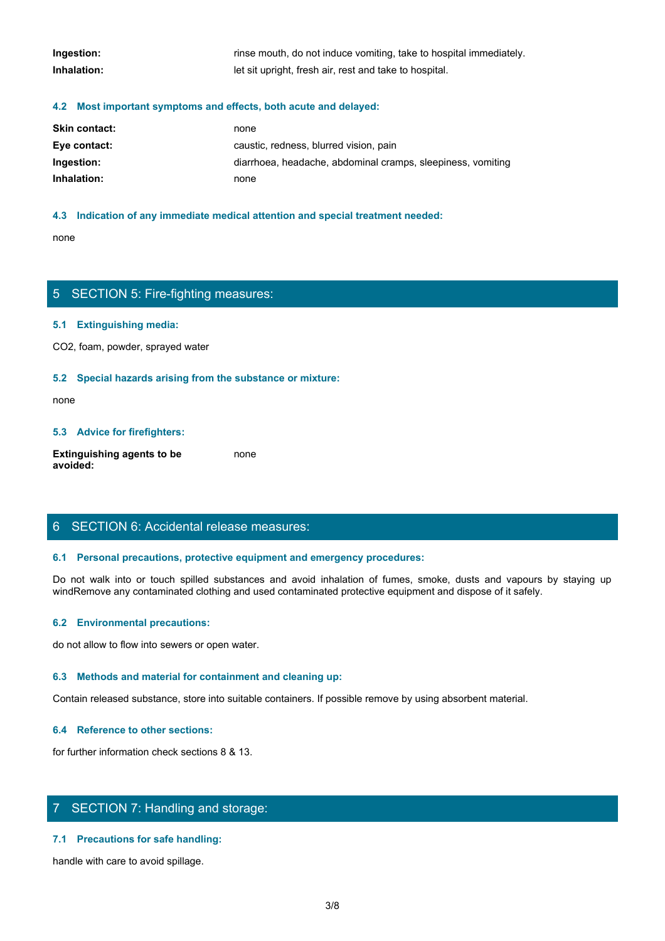| Ingestion:  | rinse mouth, do not induce vomiting, take to hospital immediately. |
|-------------|--------------------------------------------------------------------|
| Inhalation: | let sit upright, fresh air, rest and take to hospital.             |

#### **4.2 Most important symptoms and effects, both acute and delayed:**

| <b>Skin contact:</b> | none                                                        |
|----------------------|-------------------------------------------------------------|
| Eye contact:         | caustic, redness, blurred vision, pain                      |
| Ingestion:           | diarrhoea, headache, abdominal cramps, sleepiness, vomiting |
| Inhalation:          | none                                                        |

#### **4.3 Indication of any immediate medical attention and special treatment needed:**

none and the state of the state of the state of the state of the state of the state of the state of the state of the state of the state of the state of the state of the state of the state of the state of the state of the s

# 5 SECTION 5: Fire-fighting measures:

#### **5.1 Extinguishing media:**

CO2, foam, powder, sprayed water

#### **5.2 Special hazards arising from the substance or mixture:**

none and the state of the state of the state of the state of the state of the state of the state of the state of the state of the state of the state of the state of the state of the state of the state of the state of the s

#### **5.3 Advice for firefighters:**

**Extinguishing agents to be avoided:** none and the state of the state of the state of the state of the state of the state of the state of the state of the state of the state of the state of the state of the state of the state of the state of the state of the s

# 6 SECTION 6: Accidental release measures:

#### **6.1 Personal precautions, protective equipment and emergency procedures:**

none<br>
S. SECTION 5: Fire-fighting measures:<br>
S. S. Special hazards arising from the substance or mixture:<br>
H. S. Special hazards arising from the substance or mixture:<br>
and avoid in the fumes, spilled substances and avoid windRemove any contaminated clothing and used contaminated protective equipment and dispose of it safely.

#### **6.2 Environmental precautions:**

do not allow to flow into sewers or open water.

#### **6.3 Methods and material for containment and cleaning up:**

Contain released substance, store into suitable containers. If possible remove by using absorbent material.

#### **6.4 Reference to other sections:**

for further information check sections 8 & 13.

# 7 SECTION 7: Handling and storage:

#### **7.1 Precautions for safe handling:**

handle with care to avoid spillage.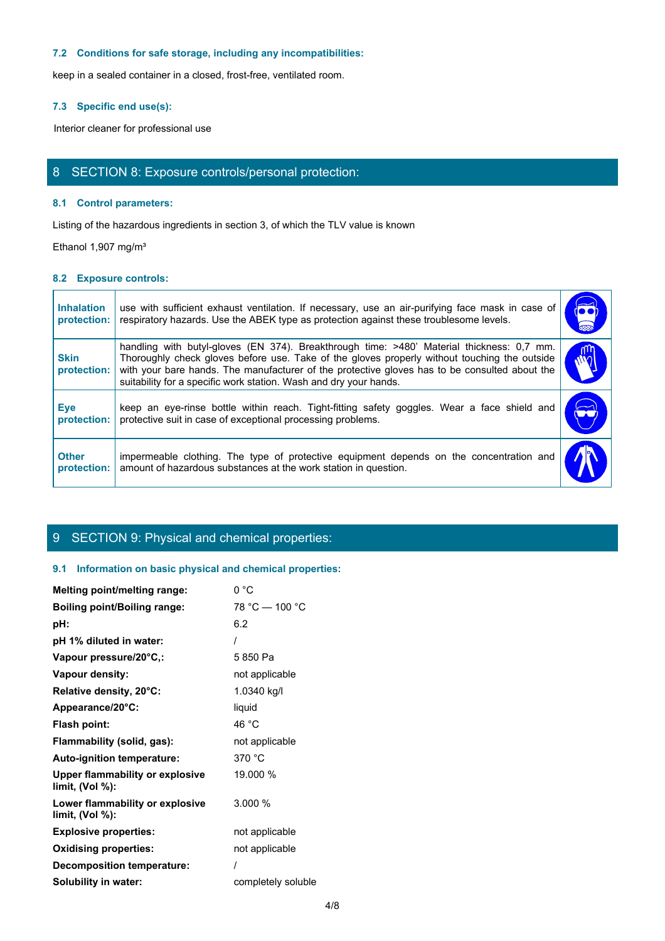# **7.2 Conditions for safe storage, including any incompatibilities:**

# **7.3 Specific end use(s):**

# 8 SECTION 8: Exposure controls/personal protection:

#### **8.1 Control parameters:**

## **8.2 Exposure controls:**

|                                  | 7.2 Conditions for safe storage, including any incompatibilities:                                                                                                                                                                                                                                                                                               |                             |
|----------------------------------|-----------------------------------------------------------------------------------------------------------------------------------------------------------------------------------------------------------------------------------------------------------------------------------------------------------------------------------------------------------------|-----------------------------|
|                                  | keep in a sealed container in a closed, frost-free, ventilated room.                                                                                                                                                                                                                                                                                            |                             |
| 7.3 Specific end use(s):         |                                                                                                                                                                                                                                                                                                                                                                 |                             |
|                                  | Interior cleaner for professional use                                                                                                                                                                                                                                                                                                                           |                             |
|                                  |                                                                                                                                                                                                                                                                                                                                                                 |                             |
|                                  | 8 SECTION 8: Exposure controls/personal protection:                                                                                                                                                                                                                                                                                                             |                             |
| 8.1 Control parameters:          |                                                                                                                                                                                                                                                                                                                                                                 |                             |
|                                  | Listing of the hazardous ingredients in section 3, of which the TLV value is known                                                                                                                                                                                                                                                                              |                             |
| Ethanol 1,907 mg/m <sup>3</sup>  |                                                                                                                                                                                                                                                                                                                                                                 |                             |
| 8.2 Exposure controls:           |                                                                                                                                                                                                                                                                                                                                                                 |                             |
| <b>Inhalation</b><br>protection: | use with sufficient exhaust ventilation. If necessary, use an air-purifying face mask in case of<br>respiratory hazards. Use the ABEK type as protection against these troublesome levels.                                                                                                                                                                      | $\overline{\bullet\bullet}$ |
| <b>Skin</b><br>protection:       | handling with butyl-gloves (EN 374). Breakthrough time: >480' Material thickness: 0,7 mm.<br>Thoroughly check gloves before use. Take of the gloves properly without touching the outside<br>with your bare hands. The manufacturer of the protective gloves has to be consulted about the<br>suitability for a specific work station. Wash and dry your hands. | $ \hat{W} $                 |
| <b>Eye</b><br>protection:        | keep an eye-rinse bottle within reach. Tight-fitting safety goggles. Wear a face shield and<br>protective suit in case of exceptional processing problems.                                                                                                                                                                                                      | $\mathbf{C}$                |
| <b>Other</b><br>protection:      | impermeable clothing. The type of protective equipment depends on the concentration and<br>amount of hazardous substances at the work station in question.                                                                                                                                                                                                      |                             |

# 9 SECTION 9: Physical and chemical properties:

# **9.1 Information on basic physical and chemical properties:**

| Melting point/melting range:                          | 0 °C               |
|-------------------------------------------------------|--------------------|
| <b>Boiling point/Boiling range:</b>                   | $78 °C - 100 °C$   |
| pH:                                                   | 6.2                |
| pH 1% diluted in water:                               |                    |
| Vapour pressure/20°C,:                                | 5850 Pa            |
| Vapour density:                                       | not applicable     |
| Relative density, 20°C:                               | 1.0340 kg/l        |
| Appearance/20°C:                                      | liquid             |
| Flash point:                                          | 46 °C              |
| Flammability (solid, gas):                            | not applicable     |
| Auto-ignition temperature:                            | 370 °C             |
| Upper flammability or explosive<br>limit, $(Vol %)$ : | 19.000 %           |
| Lower flammability or explosive<br>limit, (Vol %):    | 3.000 %            |
| <b>Explosive properties:</b>                          | not applicable     |
| <b>Oxidising properties:</b>                          | not applicable     |
| <b>Decomposition temperature:</b>                     |                    |
| Solubility in water:                                  | completely soluble |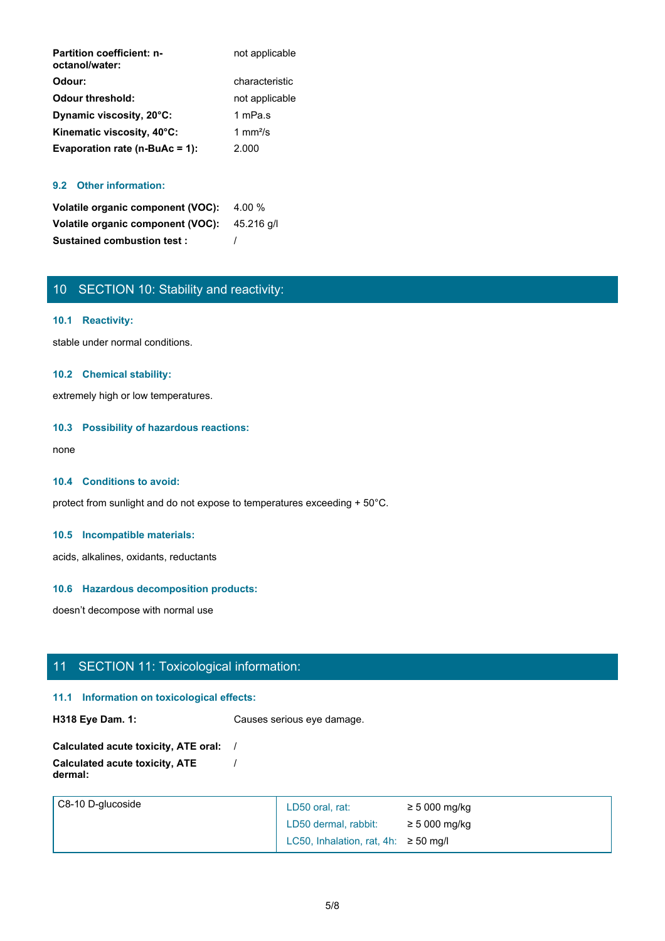| <b>Partition coefficient: n-</b><br>octanol/water: | not applicable     |
|----------------------------------------------------|--------------------|
| Odour:                                             | characteristic     |
| <b>Odour threshold:</b>                            | not applicable     |
| Dynamic viscosity, 20°C:                           | 1 mPa.s            |
| Kinematic viscosity, 40°C:                         | 1 mm $\frac{2}{s}$ |
| Evaporation rate (n-BuAc = 1):                     | 2.000              |

# **9.2 Other information:**

**Volatile organic component (VOC):** 4.00 % **Volatile organic component (VOC):** 45.216 g/l **Sustained combustion test :** /

# 10 SECTION 10: Stability and reactivity:

## **10.1 Reactivity:**

stable under normal conditions.

# **10.2 Chemical stability:**

extremely high or low temperatures.

#### **10.3 Possibility of hazardous reactions:**

none and the state of the state of the state of the state of the state of the state of the state of the state of the state of the state of the state of the state of the state of the state of the state of the state of the s

#### **10.4 Conditions to avoid:**

protect from sunlight and do not expose to temperatures exceeding + 50°C.

#### **10.5 Incompatible materials:**

acids, alkalines, oxidants, reductants

## **10.6 Hazardous decomposition products:**

doesn't decompose with normal use

# 11 SECTION 11: Toxicological information:

#### **11.1 Information on toxicological effects:**

**H318 Eye Dam. 1:** Causes serious eye damage.

```
Calculated acute toxicity, ATE oral: /
Calculated acute toxicity, ATE
dermal:
                           /
```

| $\sqrt{C8-10}$ D-glucoside | LD50 oral, rat:                              | $\geq 5000$ mg/kg |
|----------------------------|----------------------------------------------|-------------------|
|                            | LD50 dermal, rabbit:                         | $\geq 5000$ mg/kg |
|                            | LC50, Inhalation, rat, $4h$ : $\geq$ 50 mg/l |                   |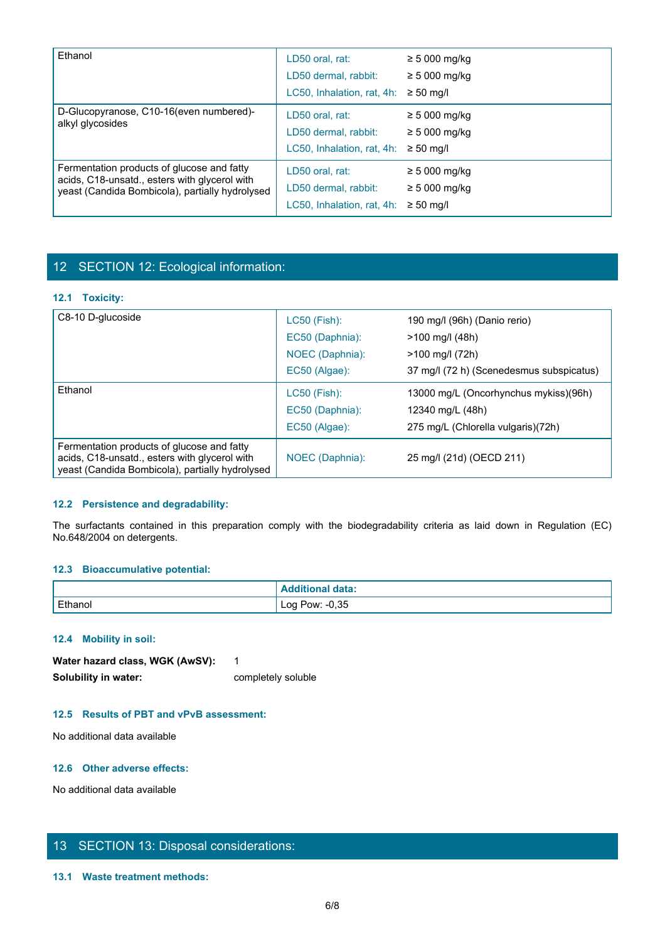| Ethanol                                                                                                                                        | LD50 oral, rat:<br>LD50 dermal, rabbit:<br>LC50, Inhalation, rat, 4h:               | $\geq$ 5 000 mg/kg<br>$\geq 5000$ mg/kg<br>$\geq 50$ ma/l |
|------------------------------------------------------------------------------------------------------------------------------------------------|-------------------------------------------------------------------------------------|-----------------------------------------------------------|
| D-Glucopyranose, C10-16(even numbered)-<br>alkyl glycosides                                                                                    | LD50 oral, rat:<br>LD50 dermal, rabbit:<br>LC50, Inhalation, rat, 4h: $\ge$ 50 mg/l | $\geq 5000$ mg/kg<br>$\geq 5000$ mg/kg                    |
| Fermentation products of glucose and fatty<br>acids, C18-unsatd., esters with glycerol with<br>yeast (Candida Bombicola), partially hydrolysed | LD50 oral, rat:<br>LD50 dermal, rabbit:<br>LC50, Inhalation, rat, 4h:               | $\geq 5000$ mg/kg<br>$\geq 5000$ mg/kg<br>$\geq 50$ ma/l  |

# 12 SECTION 12: Ecological information:

# **12.1 Toxicity:**

| yeast (Candida Bombicola), partially hydrolysed                                                                                                | LD50 dermal, rabbit:                      | $\geq 5000$ mg/kg                        |
|------------------------------------------------------------------------------------------------------------------------------------------------|-------------------------------------------|------------------------------------------|
|                                                                                                                                                | LC50, Inhalation, rat, 4h: $\geq$ 50 mg/l |                                          |
|                                                                                                                                                |                                           |                                          |
| 12 SECTION 12: Ecological information:                                                                                                         |                                           |                                          |
|                                                                                                                                                |                                           |                                          |
| 12.1 Toxicity:                                                                                                                                 |                                           |                                          |
| C8-10 D-glucoside                                                                                                                              | LC50 (Fish):                              | 190 mg/l (96h) (Danio rerio)             |
|                                                                                                                                                | EC50 (Daphnia):                           | >100 mg/l (48h)                          |
|                                                                                                                                                | NOEC (Daphnia):                           | >100 mg/l (72h)                          |
|                                                                                                                                                | EC50 (Algae):                             | 37 mg/l (72 h) (Scenedesmus subspicatus) |
| Ethanol                                                                                                                                        | LC50 (Fish):                              | 13000 mg/L (Oncorhynchus mykiss)(96h)    |
|                                                                                                                                                | EC50 (Daphnia):                           | 12340 mg/L (48h)                         |
|                                                                                                                                                | EC50 (Algae):                             | 275 mg/L (Chlorella vulgaris)(72h)       |
| Fermentation products of glucose and fatty<br>acids, C18-unsatd., esters with glycerol with<br>yeast (Candida Bombicola), partially hydrolysed | NOEC (Daphnia):                           | 25 mg/l (21d) (OECD 211)                 |
|                                                                                                                                                |                                           |                                          |
| 12.2 Persistence and degradability:                                                                                                            |                                           |                                          |
| The surfactants contained in this preparation comply with the biodegradability criteria as laid down in Regulation (EC)                        |                                           |                                          |
| No.648/2004 on detergents.                                                                                                                     |                                           |                                          |
|                                                                                                                                                |                                           |                                          |
| 12.3 Bioaccumulative potential:                                                                                                                |                                           |                                          |
|                                                                                                                                                | <b>Additional data:</b>                   |                                          |
| Ethanol                                                                                                                                        | Log Pow: -0,35                            |                                          |

# **12.2 Persistence and degradability:**

# **12.3 Bioaccumulative potential:**

|         | ' data:<br>…~udition |
|---------|----------------------|
| Ethanol | $-0,35$<br>Log Pow:  |

#### **12.4 Mobility in soil:**

| Water hazard class, WGK (AwSV): |                    |
|---------------------------------|--------------------|
| Solubility in water:            | completely soluble |

# **12.5 Results of PBT and vPvB assessment:**

No additional data available

# **12.6 Other adverse effects:**

No additional data available

# 13 SECTION 13: Disposal considerations:

# **13.1 Waste treatment methods:**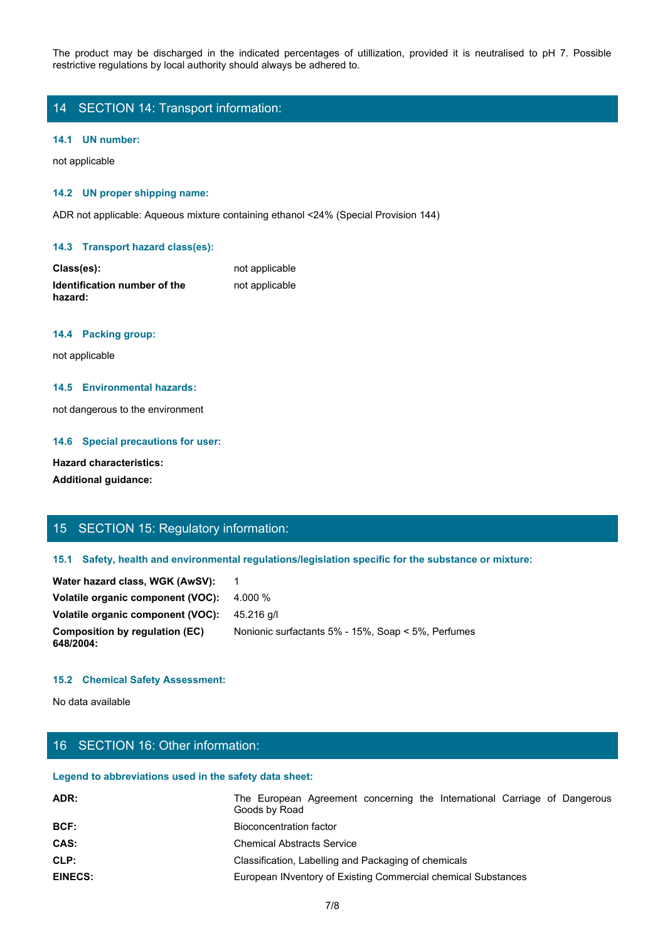The product may be discharged in the indicated percentages of utilization, provided it is neutralised to pH 7. Possible restrictive regulations by local authority should always be adhered to.<br>14 SECTION 14: Transport infor restrictive regulations by local authority should always be adhered to.

# 14 SECTION 14: Transport information:

#### **14.1 UN number:**

not applicable

#### **14.2 UN proper shipping name:**

ADR not applicable: Aqueous mixture containing ethanol <24% (Special Provision 144)

#### **14.3 Transport hazard class(es):**

| Class(es):                          | not applicable |
|-------------------------------------|----------------|
| <b>Identification number of the</b> | not applicable |
| hazard:                             |                |

#### **14.4 Packing group:**

not applicable

# **14.5 Environmental hazards:**

not dangerous to the environment

#### **14.6 Special precautions for user:**

# **Hazard characteristics:**

# 15 SECTION 15: Regulatory information:

#### **15.1 Safety, health and environmental regulations/legislation specific for the substance or mixture:**

| Water hazard class, WGK (AwSV):  1           |                                                    |
|----------------------------------------------|----------------------------------------------------|
| Volatile organic component (VOC): $-4.000\%$ |                                                    |
| Volatile organic component (VOC): 45.216 g/l |                                                    |
| Composition by regulation (EC)<br>648/2004:  | Nonionic surfactants 5% - 15%, Soap < 5%, Perfumes |

#### **15.2 Chemical Safety Assessment:**

# 16 SECTION 16: Other information:

#### **Legend to abbreviations used in the safety data sheet:**

| <b>Hazard characteristics:</b><br><b>Additional guidance:</b> |                                                                                                      |  |
|---------------------------------------------------------------|------------------------------------------------------------------------------------------------------|--|
| 15 SECTION 15: Regulatory information:                        |                                                                                                      |  |
|                                                               | 15.1 Safety, health and environmental regulations/legislation specific for the substance or mixture: |  |
| Water hazard class, WGK (AwSV):                               | $\overline{1}$                                                                                       |  |
| Volatile organic component (VOC):                             | 4.000 %                                                                                              |  |
| Volatile organic component (VOC):                             | 45.216 g/l                                                                                           |  |
| <b>Composition by regulation (EC)</b><br>648/2004:            | Nonionic surfactants 5% - 15%, Soap < 5%, Perfumes                                                   |  |
| <b>15.2 Chemical Safety Assessment:</b>                       |                                                                                                      |  |
| No data available                                             |                                                                                                      |  |
| 16 SECTION 16: Other information:                             |                                                                                                      |  |
| Legend to abbreviations used in the safety data sheet:        |                                                                                                      |  |
| ADR:                                                          | The European Agreement concerning the International Carriage of Dangerous<br>Goods by Road           |  |
| BCF:                                                          | <b>Bioconcentration factor</b>                                                                       |  |
| CAS:                                                          | <b>Chemical Abstracts Service</b>                                                                    |  |
| CLP:                                                          | Classification, Labelling and Packaging of chemicals                                                 |  |
| <b>EINECS:</b>                                                | European INventory of Existing Commercial chemical Substances                                        |  |